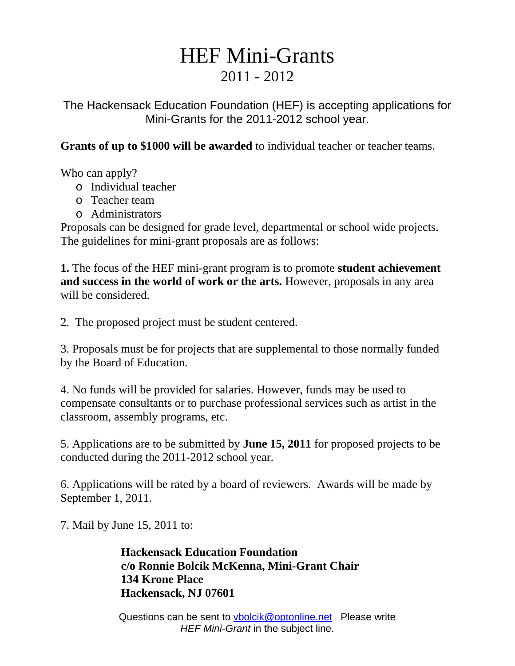## HEF Mini-Grants 2011 - 2012

The Hackensack Education Foundation (HEF) is accepting applications for Mini-Grants for the 2011-2012 school year.

**Grants of up to \$1000 will be awarded** to individual teacher or teacher teams.

Who can apply?

- o Individual teacher
- o Teacher team
- o Administrators

Proposals can be designed for grade level, departmental or school wide projects. The guidelines for mini-grant proposals are as follows:

**1.** The focus of the HEF mini-grant program is to promote **student achievement and success in the world of work or the arts.** However, proposals in any area will be considered.

2. The proposed project must be student centered.

3. Proposals must be for projects that are supplemental to those normally funded by the Board of Education.

4. No funds will be provided for salaries. However, funds may be used to compensate consultants or to purchase professional services such as artist in the classroom, assembly programs, etc.

5. Applications are to be submitted by **June 15, 2011** for proposed projects to be conducted during the 2011-2012 school year.

6. Applications will be rated by a board of reviewers. Awards will be made by September 1, 2011.

7. Mail by June 15, 2011 to:

 **Hackensack Education Foundation c/o Ronnie Bolcik McKenna, Mini-Grant Chair 134 Krone Place Hackensack, NJ 07601** 

Questions can be sent to vbolcik@optonline.net Please write *HEF Mini-Grant* in the subject line.